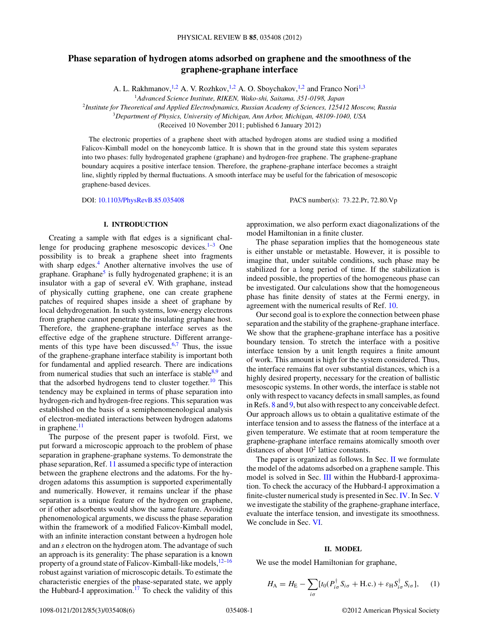# <span id="page-0-0"></span>**Phase separation of hydrogen atoms adsorbed on graphene and the smoothness of the graphene-graphane interface**

A. L. Rakhmanov, <sup>1,2</sup> A. V. Rozhkov, <sup>1,2</sup> A. O. Sboychakov, <sup>1,2</sup> and Franco Nori<sup>1,3</sup>

<sup>1</sup>*Advanced Science Institute, RIKEN, Wako-shi, Saitama, 351-0198, Japan*

<sup>2</sup>*Institute for Theoretical and Applied Electrodynamics, Russian Academy of Sciences, 125412 Moscow, Russia*

<sup>3</sup>*Department of Physics, University of Michigan, Ann Arbor, Michigan, 48109-1040, USA*

(Received 10 November 2011; published 6 January 2012)

The electronic properties of a graphene sheet with attached hydrogen atoms are studied using a modified Falicov-Kimball model on the honeycomb lattice. It is shown that in the ground state this system separates into two phases: fully hydrogenated graphene (graphane) and hydrogen-free graphene. The graphene-graphane boundary acquires a positive interface tension. Therefore, the graphene-graphane interface becomes a straight line, slightly rippled by thermal fluctuations. A smooth interface may be useful for the fabrication of mesoscopic graphene-based devices.

DOI: [10.1103/PhysRevB.85.035408](http://dx.doi.org/10.1103/PhysRevB.85.035408) PACS number(s): 73*.*22*.*Pr, 72*.*80*.*Vp

# **I. INTRODUCTION**

Creating a sample with flat edges is a significant challenge for producing graphene mesoscopic devices. $1-3$  One possibility is to break a graphene sheet into fragments with sharp edges.<sup>[4](#page-5-0)</sup> Another alternative involves the use of graphane. Graphane<sup>5</sup> is fully hydrogenated graphene; it is an insulator with a gap of several eV. With graphane, instead of physically cutting graphene, one can create graphene patches of required shapes inside a sheet of graphane by local dehydrogenation. In such systems, low-energy electrons from graphene cannot penetrate the insulating graphane host. Therefore, the graphene-graphane interface serves as the effective edge of the graphene structure. Different arrange-ments of this type have been discussed.<sup>[6,7](#page-5-0)</sup> Thus, the issue of the graphene-graphane interface stability is important both for fundamental and applied research. There are indications from numerical studies that such an interface is stable $8.9$  and that the adsorbed hydrogens tend to cluster together.<sup>10</sup> This tendency may be explained in terms of phase separation into hydrogen-rich and hydrogen-free regions. This separation was established on the basis of a semiphenomenological analysis of electron-mediated interactions between hydrogen adatoms in graphene. $<sup>11</sup>$ </sup>

The purpose of the present paper is twofold. First, we put forward a microscopic approach to the problem of phase separation in graphene-graphane systems. To demonstrate the phase separation, Ref. [11](#page-5-0) assumed a specific type of interaction between the graphene electrons and the adatoms. For the hydrogen adatoms this assumption is supported experimentally and numerically. However, it remains unclear if the phase separation is a unique feature of the hydrogen on graphene, or if other adsorbents would show the same feature. Avoiding phenomenological arguments, we discuss the phase separation within the framework of a modified Falicov-Kimball model, with an infinite interaction constant between a hydrogen hole and an *s* electron on the hydrogen atom. The advantage of such an approach is its generality: The phase separation is a known property of a ground state of Falicov-Kimball-like models, $12-16$ robust against variation of microscopic details. To estimate the characteristic energies of the phase-separated state, we apply the Hubbard-I approximation.<sup>[17](#page-5-0)</sup> To check the validity of this

approximation, we also perform exact diagonalizations of the model Hamiltonian in a finite cluster.

The phase separation implies that the homogeneous state is either unstable or metastable. However, it is possible to imagine that, under suitable conditions, such phase may be stabilized for a long period of time. If the stabilization is indeed possible, the properties of the homogeneous phase can be investigated. Our calculations show that the homogeneous phase has finite density of states at the Fermi energy, in agreement with the numerical results of Ref. [10.](#page-5-0)

Our second goal is to explore the connection between phase separation and the stability of the graphene-graphane interface. We show that the graphene-graphane interface has a positive boundary tension. To stretch the interface with a positive interface tension by a unit length requires a finite amount of work. This amount is high for the system considered. Thus, the interface remains flat over substantial distances, which is a highly desired property, necessary for the creation of ballistic mesoscopic systems. In other words, the interface is stable not only with respect to vacancy defects in small samples, as found in Refs. [8](#page-5-0) and [9,](#page-5-0) but also with respect to any conceivable defect. Our approach allows us to obtain a qualitative estimate of the interface tension and to assess the flatness of the interface at a given temperature. We estimate that at room temperature the graphene-graphane interface remains atomically smooth over distances of about  $10^2$  lattice constants.

The paper is organized as follows. In Sec. II we formulate the model of the adatoms adsorbed on a graphene sample. This model is solved in Sec. [III](#page-1-0) within the Hubbard-I approximation. To check the accuracy of the Hubbard-I approximation a finite-cluster numerical study is presented in Sec. [IV.](#page-2-0) In Sec. [V](#page-4-0) we investigate the stability of the graphene-graphane interface, evaluate the interface tension, and investigate its smoothness. We conclude in Sec. [VI.](#page-4-0)

### **II. MODEL**

We use the model Hamiltonian for graphane,

$$
H_{\rm A} = H_{\rm E} - \sum_{i\sigma} [t_0 (P_{i\sigma}^{\dagger} S_{i\sigma} + \text{H.c.}) + \varepsilon_{\rm H} S_{i\sigma}^{\dagger} S_{i\sigma}], \quad (1)
$$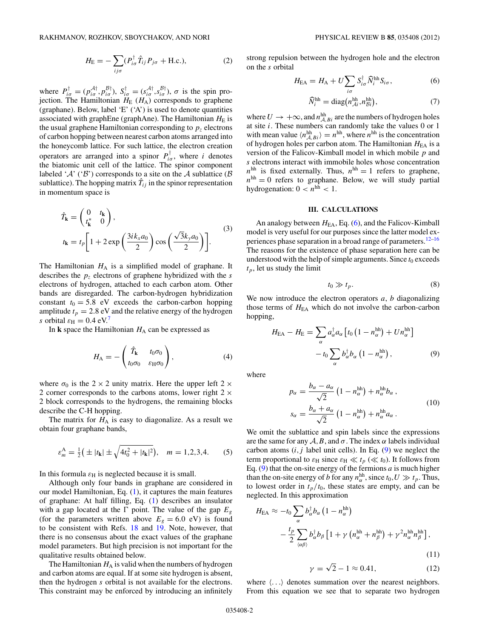$$
H_{\rm E} = -\sum_{ij\sigma} (P_{i\sigma}^{\dagger} \hat{T}_{ij} P_{j\sigma} + \text{H.c.}), \tag{2}
$$

<span id="page-1-0"></span>where  $P_{i\sigma}^{\dagger} = (p_{i\sigma}^{A\dagger}, p_{i\sigma}^{B\dagger}), S_{i\sigma}^{\dagger} = (s_{i\sigma}^{A\dagger}, s_{i\sigma}^{B\dagger}), \sigma$  is the spin projection. The Hamiltonian  $H_E$  ( $H_A$ ) corresponds to graphene (graphane). Below, label 'E' ('A') is used to denote quantities associated with graphEne (graphAne). The Hamiltonian  $H<sub>E</sub>$  is the usual graphene Hamiltonian corresponding to  $p<sub>z</sub>$  electrons of carbon hopping between nearest carbon atoms arranged into the honeycomb lattice. For such lattice, the electron creation operators are arranged into a spinor  $P_{i\sigma}^{\dagger}$ , where *i* denotes the biatomic unit cell of the lattice. The spinor component labeled ' $\mathcal{A}'$ ' (' $\mathcal{B}'$ ') corresponds to a site on the  $\mathcal{A}$  sublattice ( $\mathcal{B}$ ) sublattice). The hopping matrix  $\hat{T}_{ij}$  in the spinor representation in momentum space is

$$
\hat{T}_{\mathbf{k}} = \begin{pmatrix} 0 & t_{\mathbf{k}} \\ t_{\mathbf{k}}^* & 0 \end{pmatrix},
$$
\n
$$
t_{\mathbf{k}} = t_p \left[ 1 + 2 \exp\left(\frac{3ik_x a_0}{2}\right) \cos\left(\frac{\sqrt{3}k_y a_0}{2}\right) \right].
$$
\n(3)

The Hamiltonian  $H_A$  is a simplified model of graphane. It describes the *pz* electrons of graphene hybridized with the *s* electrons of hydrogen, attached to each carbon atom. Other bands are disregarded. The carbon-hydrogen hybridization constant  $t_0 = 5.8$  eV exceeds the carbon-carbon hopping amplitude  $t_p = 2.8$  eV and the relative energy of the hydrogen *s* orbital  $\varepsilon_{\text{H}} = 0.4 \text{ eV}$ .

In  $k$  space the Hamiltonian  $H_A$  can be expressed as

$$
H_{\rm A} = -\left(\begin{array}{cc} \hat{T}_{\mathbf{k}} & t_0 \sigma_0 \\ t_0 \sigma_0 & \varepsilon_{\rm H} \sigma_0 \end{array}\right),\tag{4}
$$

where  $\sigma_0$  is the 2  $\times$  2 unity matrix. Here the upper left 2  $\times$ 2 corner corresponds to the carbons atoms, lower right  $2 \times$ 2 block corresponds to the hydrogens, the remaining blocks describe the C-H hopping.

The matrix for  $H_A$  is easy to diagonalize. As a result we obtain four graphane bands,

$$
\varepsilon_m^{\text{A}} = \frac{1}{2} \left( \pm |t_{\mathbf{k}}| \pm \sqrt{4t_0^2 + |t_{\mathbf{k}}|^2} \right), \quad m = 1, 2, 3, 4. \tag{5}
$$

In this formula  $\varepsilon_H$  is neglected because it is small.

Although only four bands in graphane are considered in our model Hamiltonian, Eq. [\(1\)](#page-0-0), it captures the main features of graphane: At half filling, Eq. [\(1\)](#page-0-0) describes an insulator with a gap located at the  $\Gamma$  point. The value of the gap  $E<sub>g</sub>$ (for the parameters written above  $E<sub>g</sub> = 6.0$  eV) is found to be consistent with Refs. [18](#page-5-0) and [19.](#page-5-0) Note, however, that there is no consensus about the exact values of the graphane model parameters. But high precision is not important for the qualitative results obtained below.

The Hamiltonian  $H_A$  is valid when the numbers of hydrogen and carbon atoms are equal. If at some site hydrogen is absent, then the hydrogen *s* orbital is not available for the electrons. This constraint may be enforced by introducing an infinitely

strong repulsion between the hydrogen hole and the electron on the *s* orbital

$$
H_{\text{EA}} = H_{\text{A}} + U \sum_{i\sigma} S_{i\sigma}^{\dagger} \widehat{N}_{i}^{\text{hh}} S_{i\sigma}, \tag{6}
$$

$$
\widehat{N}_i^{\text{hh}} = \text{diag}\big(n_{\mathcal{A}i}^{\text{hh}}, n_{\mathcal{B}i}^{\text{hh}}\big),\tag{7}
$$

where  $U \rightarrow +\infty$ , and  $n_{A,Bi}^{\text{hh}}$  are the numbers of hydrogen holes at site *i*. These numbers can randomly take the values 0 or 1 with mean value  $\langle n_{A,Bi}^{hh} \rangle = n^{hh}$ , where  $n^{hh}$  is the concentration of hydrogen holes per carbon atom. The Hamiltonian *H*<sub>EA</sub> is a version of the Falicov-Kimball model in which mobile *p* and *s* electrons interact with immobile holes whose concentration  $n^{\text{hh}}$  is fixed externally. Thus,  $n^{\text{hh}} = 1$  refers to graphene,  $n<sup>hh</sup> = 0$  refers to graphane. Below, we will study partial hydrogenation:  $0 < n^{hh} < 1$ .

### **III. CALCULATIONS**

An analogy between  $H_{EA}$ , Eq. (6), and the Falicov-Kimball model is very useful for our purposes since the latter model ex-periences phase separation in a broad range of parameters.<sup>[12–16](#page-5-0)</sup> The reasons for the existence of phase separation here can be understood with the help of simple arguments. Since  $t_0$  exceeds  $t_p$ , let us study the limit

$$
t_0 \gg t_p. \tag{8}
$$

We now introduce the electron operators *a*, *b* diagonalizing those terms of  $H<sub>EA</sub>$  which do not involve the carbon-carbon hopping,

$$
H_{\text{EA}} - H_{\text{E}} = \sum_{\alpha} a_{\alpha}^{\dagger} a_{\alpha} \left[ t_0 \left( 1 - n_{\alpha}^{\text{hh}} \right) + U n_{\alpha}^{\text{hh}} \right] - t_0 \sum_{\alpha} b_{\alpha}^{\dagger} b_{\alpha} \left( 1 - n_{\alpha}^{\text{hh}} \right), \tag{9}
$$

where

$$
p_{\alpha} = \frac{b_{\alpha} - a_{\alpha}}{\sqrt{2}} \left( 1 - n_{\alpha}^{\text{hh}} \right) + n_{\alpha}^{\text{hh}} b_{\alpha} ,
$$
  

$$
s_{\alpha} = \frac{b_{\alpha} + a_{\alpha}}{\sqrt{2}} \left( 1 - n_{\alpha}^{\text{hh}} \right) + n_{\alpha}^{\text{hh}} a_{\alpha} .
$$
 (10)

We omit the sublattice and spin labels since the expressions are the same for any  $A, B$ , and  $\sigma$ . The index  $\alpha$  labels individual carbon atoms  $(i, j)$  label unit cells). In Eq.  $(9)$  we neglect the term proportional to  $\varepsilon_H$  since  $\varepsilon_H \ll t_p \ll t_0$ ). It follows from Eq.  $(9)$  that the on-site energy of the fermions  $a$  is much higher than the on-site energy of *b* for any  $n_{\alpha}^{\text{hh}}$ , since  $t_0, U \gg t_p$ . Thus, to lowest order in  $t_p/t_0$ , these states are empty, and can be neglected. In this approximation

$$
H_{\text{EA}} \approx -t_0 \sum_{\alpha} b_{\alpha}^{\dagger} b_{\alpha} \left( 1 - n_{\alpha}^{\text{hh}} \right)
$$
  

$$
- \frac{t_p}{2} \sum_{\langle \alpha \beta \rangle} b_{\alpha}^{\dagger} b_{\beta} \left[ 1 + \gamma \left( n_{\alpha}^{\text{hh}} + n_{\beta}^{\text{hh}} \right) + \gamma^2 n_{\alpha}^{\text{hh}} n_{\beta}^{\text{hh}} \right],
$$
  
(11)

$$
\gamma = \sqrt{2} - 1 \approx 0.41,\tag{12}
$$

where  $\langle \ldots \rangle$  denotes summation over the nearest neighbors. From this equation we see that to separate two hydrogen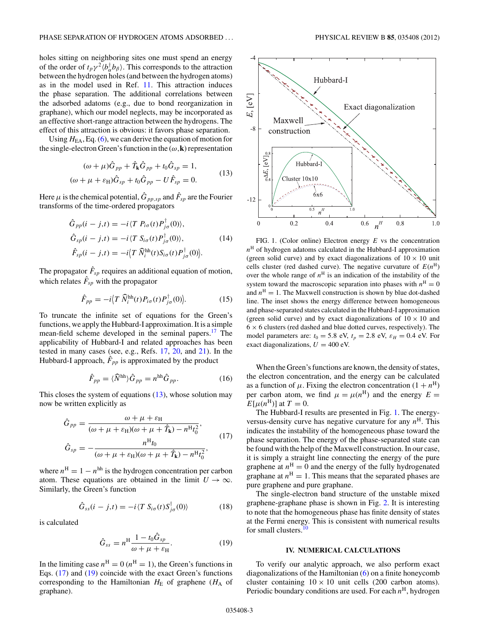<span id="page-2-0"></span>holes sitting on neighboring sites one must spend an energy of the order of  $t_p \gamma^2 \langle b_\alpha^\dagger b_\beta \rangle$ . This corresponds to the attraction between the hydrogen holes (and between the hydrogen atoms) as in the model used in Ref. [11.](#page-5-0) This attraction induces the phase separation. The additional correlations between the adsorbed adatoms (e.g., due to bond reorganization in graphane), which our model neglects, may be incorporated as an effective short-range attraction between the hydrogens. The effect of this attraction is obvious: it favors phase separation.

Using  $H<sub>EA</sub>$ , Eq. [\(6\)](#page-1-0), we can derive the equation of motion for the single-electron Green's function in the  $(\omega, \mathbf{k})$  representation

$$
(\omega + \mu)\hat{G}_{pp} + \hat{T}_{\mathbf{k}}\hat{G}_{pp} + t_0\hat{G}_{sp} = 1,
$$
  

$$
(\omega + \mu + \varepsilon_{\mathbf{H}})\hat{G}_{sp} + t_0\hat{G}_{pp} - U\hat{F}_{sp} = 0.
$$
 (13)

Here  $\mu$  is the chemical potential,  $\hat{G}_{pp,sp}$  and  $\hat{F}_{sp}$  are the Fourier transforms of the time-ordered propagators

$$
\hat{G}_{pp}(i-j,t) = -i \langle T P_{i\sigma}(t) P_{j\sigma}^{\dagger}(0) \rangle,
$$
  
\n
$$
\hat{G}_{sp}(i-j,t) = -i \langle T S_{i\sigma}(t) P_{j\sigma}^{\dagger}(0) \rangle,
$$
  
\n
$$
\hat{F}_{sp}(i-j,t) = -i \langle T \hat{N}_i^{\text{hh}}(t) S_{i\sigma}(t) P_{j\sigma}^{\dagger}(0) \rangle.
$$
\n(14)

The propagator  $\hat{F}_{sp}$  requires an additional equation of motion, which relates  $\hat{F}_{sp}$  with the propagator

$$
\hat{F}_{pp} = -i \langle T \; \widehat{N}_i^{\text{hh}}(t) P_{i\sigma}(t) P_{j\sigma}^\dagger(0) \rangle. \tag{15}
$$

To truncate the infinite set of equations for the Green's functions, we apply the Hubbard-I approximation. It is a simple mean-field scheme developed in the seminal papers[.17](#page-5-0) The applicability of Hubbard-I and related approaches has been tested in many cases (see, e.g., Refs. [17,](#page-5-0) [20,](#page-5-0) and [21\)](#page-5-0). In the Hubbard-I approach,  $\hat{F}_{pp}$  is approximated by the product

$$
\hat{F}_{pp} = \langle \hat{N}^{\text{hh}} \rangle \hat{G}_{pp} = n^{\text{hh}} \hat{G}_{pp}.
$$
 (16)

This closes the system of equations  $(13)$ , whose solution may now be written explicitly as

$$
\hat{G}_{pp} = \frac{\omega + \mu + \varepsilon_{\rm H}}{(\omega + \mu + \varepsilon_{\rm H})(\omega + \mu + \hat{T}_{\rm k}) - n^{\rm H}t_0^2},
$$
\n
$$
\hat{G}_{sp} = -\frac{n^{\rm H}t_0}{(\omega + \mu + \varepsilon_{\rm H})(\omega + \mu + \hat{T}_{\rm k}) - n^{\rm H}t_0^2},
$$
\n(17)

where  $n^H = 1 - n^{\text{hh}}$  is the hydrogen concentration per carbon atom. These equations are obtained in the limit  $U \to \infty$ . Similarly, the Green's function

$$
\hat{G}_{ss}(i-j,t) = -i \langle T S_{i\sigma}(t) S_{j\sigma}^{\dagger}(0) \rangle \tag{18}
$$

is calculated

$$
\hat{G}_{ss} = n^{\rm H} \frac{1 - t_0 \hat{G}_{sp}}{\omega + \mu + \varepsilon_{\rm H}}.
$$
\n(19)

In the limiting case  $n<sup>H</sup> = 0$  ( $n<sup>H</sup> = 1$ ), the Green's functions in Eqs. (17) and (19) coincide with the exact Green's functions corresponding to the Hamiltonian  $H_{\text{E}}$  of graphene ( $H_{\text{A}}$  of graphane).



FIG. 1. (Color online) Electron energy *E* vs the concentration  $n<sup>H</sup>$  of hydrogen adatoms calculated in the Hubbard-I approximation (green solid curve) and by exact diagonalizations of  $10 \times 10$  unit cells cluster (red dashed curve). The negative curvature of  $E(n^{\text{H}})$ over the whole range of  $n<sup>H</sup>$  is an indication of the instability of the system toward the macroscopic separation into phases with  $n<sup>H</sup> = 0$ and  $n<sup>H</sup> = 1$ . The Maxwell construction is shown by blue dot-dashed line. The inset shows the energy difference between homogeneous and phase-separated states calculated in the Hubbard-I approximation (green solid curve) and by exact diagonalizations of  $10 \times 10$  and  $6 \times 6$  clusters (red dashed and blue dotted curves, respectively). The model parameters are:  $t_0 = 5.8$  eV,  $t_p = 2.8$  eV,  $\varepsilon_H = 0.4$  eV. For exact diagonalizations,  $U = 400$  eV.

When the Green's functions are known, the density of states, the electron concentration, and the energy can be calculated as a function of  $\mu$ . Fixing the electron concentration  $(1 + n^H)$ per carbon atom, we find  $\mu = \mu(n^H)$  and the energy  $E =$  $E[\mu(n^{\text{H}})]$  at  $T=0$ .

The Hubbard-I results are presented in Fig. 1. The energyversus-density curve has negative curvature for any  $n<sup>H</sup>$ . This indicates the instability of the homogeneous phase toward the phase separation. The energy of the phase-separated state can be found with the help of the Maxwell construction. In our case, it is simply a straight line connecting the energy of the pure graphene at  $n<sup>H</sup> = 0$  and the energy of the fully hydrogenated graphane at  $n<sup>H</sup> = 1$ . This means that the separated phases are pure graphene and pure graphane.

The single-electron band structure of the unstable mixed graphene-graphane phase is shown in Fig. [2.](#page-3-0) It is interesting to note that the homogeneous phase has finite density of states at the Fermi energy. This is consistent with numerical results for small clusters.<sup>10</sup>

#### **IV. NUMERICAL CALCULATIONS**

To verify our analytic approach, we also perform exact diagonalizations of the Hamiltonian [\(6\)](#page-1-0) on a finite honeycomb cluster containing  $10 \times 10$  unit cells (200 carbon atoms). Periodic boundary conditions are used. For each  $n<sup>H</sup>$ , hydrogen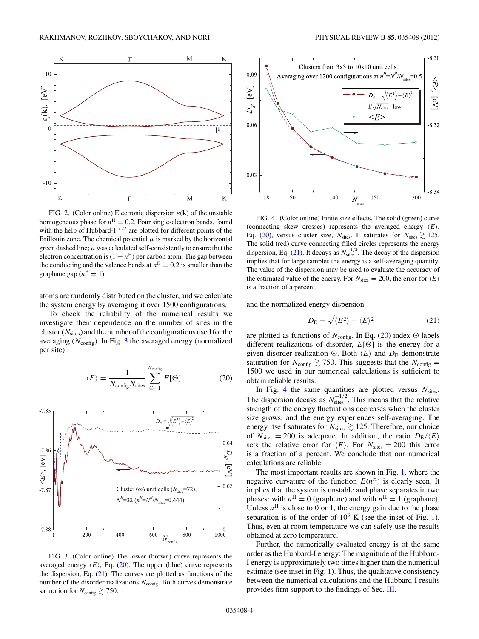<span id="page-3-0"></span>

FIG. 2. (Color online) Electronic dispersion  $\varepsilon(\mathbf{k})$  of the unstable homogeneous phase for  $n<sup>H</sup> = 0.2$ . Four single-electron bands, found with the help of Hubbard- $I^{17,22}$  are plotted for different points of the Brillouin zone. The chemical potential  $\mu$  is marked by the horizontal green dashed line;  $\mu$  was calculated self-consistently to ensure that the electron concentration is  $(1 + n<sup>H</sup>)$  per carbon atom. The gap between the conducting and the valence bands at  $n<sup>H</sup> = 0.2$  is smaller than the graphane gap  $(n^H = 1)$ .

atoms are randomly distributed on the cluster, and we calculate the system energy by averaging it over 1500 configurations.

To check the reliability of the numerical results we investigate their dependence on the number of sites in the cluster (*N*sites) and the number of the configurations used for the averaging ( $N_{\text{config}}$ ). In Fig. 3 the averaged energy (normalized per site)

$$
\langle E \rangle = \frac{1}{N_{\text{config}} N_{\text{sites}}} \sum_{\Theta=1}^{N_{\text{config}}} E[\Theta] \tag{20}
$$



FIG. 3. (Color online) The lower (brown) curve represents the averaged energy  $\langle E \rangle$ , Eq. (20). The upper (blue) curve represents the dispersion, Eq. (21). The curves are plotted as functions of the number of the disorder realizations  $N_{\text{config}}$ . Both curves demonstrate saturation for  $N_{\text{config}} \gtrsim 750$ .



FIG. 4. (Color online) Finite size effects. The solid (green) curve (connecting skew crosses) represents the averaged energy *E*, Eq. (20), versus cluster size,  $N_{\text{sites}}$ . It saturates for  $N_{\text{sites}} \gtrsim 125$ . The solid (red) curve connecting filled circles represents the energy dispersion, Eq. (21). It decays as  $N_{\text{sites}}^{-1/2}$ . The decay of the dispersion implies that for large samples the energy is a self-averaging quantity. The value of the dispersion may be used to evaluate the accuracy of the estimated value of the energy. For  $N_{\text{sites}} = 200$ , the error for  $\langle E \rangle$ is a fraction of a percent.

and the normalized energy dispersion

$$
D_{\rm E} = \sqrt{\langle E^2 \rangle - \langle E \rangle^2} \tag{21}
$$

are plotted as functions of  $N_{\text{config}}$ . In Eq. (20) index  $\Theta$  labels different realizations of disorder,  $E[\Theta]$  is the energy for a given disorder realization  $\Theta$ . Both  $\langle E \rangle$  and  $D_{\rm E}$  demonstrate saturation for  $N_{\text{config}} \gtrsim 750$ . This suggests that the  $N_{\text{config}} =$ 1500 we used in our numerical calculations is sufficient to obtain reliable results.

In Fig. 4 the same quantities are plotted versus  $N<sub>sites</sub>$ . The dispersion decays as  $N_{\text{sites}}^{-1/2}$ . This means that the relative strength of the energy fluctuations decreases when the cluster size grows, and the energy experiences self-averaging. The energy itself saturates for  $N_{\text{sites}} \gtrsim 125$ . Therefore, our choice of  $N_{\text{sites}} = 200$  is adequate. In addition, the ratio  $D_{\text{E}} / \langle E \rangle$ sets the relative error for  $\langle E \rangle$ . For  $N_{\text{sites}} = 200$  this error is a fraction of a percent. We conclude that our numerical calculations are reliable.

The most important results are shown in Fig. [1,](#page-2-0) where the negative curvature of the function  $E(n^H)$  is clearly seen. It implies that the system is unstable and phase separates in two phases: with  $n<sup>H</sup> = 0$  (graphene) and with  $n<sup>H</sup> = 1$  (graphane). Unless  $n<sup>H</sup>$  is close to 0 or 1, the energy gain due to the phase separation is of the order of  $10^3$  K (see the inset of Fig. [1\)](#page-2-0). Thus, even at room temperature we can safely use the results obtained at zero temperature.

Further, the numerically evaluated energy is of the same order as the Hubbard-I energy: The magnitude of the Hubbard-I energy is approximately two times higher than the numerical estimate (see inset in Fig. [1\)](#page-2-0). Thus, the qualitative consistency between the numerical calculations and the Hubbard-I results provides firm support to the findings of Sec. [III.](#page-1-0)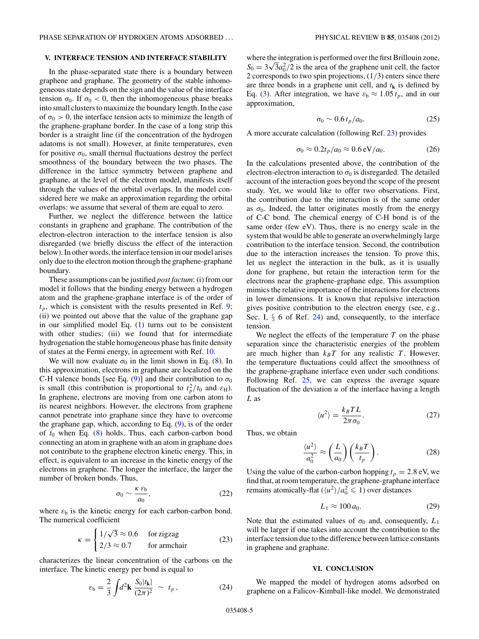## <span id="page-4-0"></span>**V. INTERFACE TENSION AND INTERFACE STABILITY**

In the phase-separated state there is a boundary between graphene and graphane. The geometry of the stable inhomogeneous state depends on the sign and the value of the interface tension  $\sigma_0$ . If  $\sigma_0 < 0$ , then the inhomogeneous phase breaks into small clusters to maximize the boundary length. In the case of  $\sigma_0 > 0$ , the interface tension acts to minimize the length of the graphene-graphane border. In the case of a long strip this border is a straight line (if the concentration of the hydrogen adatoms is not small). However, at finite temperatures, even for positive  $\sigma_0$ , small thermal fluctuations destroy the perfect smoothness of the boundary between the two phases. The difference in the lattice symmetry between graphene and graphane, at the level of the electron model, manifests itself through the values of the orbital overlaps. In the model considered here we make an approximation regarding the orbital overlaps: we assume that several of them are equal to zero.

Further, we neglect the difference between the lattice constants in graphene and graphane. The contribution of the electron-electron interaction to the interface tension is also disregarded (we briefly discuss the effect of the interaction below). In other words, the interface tension in our model arises only due to the electron motion through the graphene-graphane boundary.

These assumptions can be justified *post factum*: (i) from our model it follows that the binding energy between a hydrogen atom and the graphene-graphane interface is of the order of  $t_p$ , which is consistent with the results presented in Ref. [9;](#page-5-0) (ii) we pointed out above that the value of the graphane gap in our simplified model Eq. [\(1\)](#page-0-0) turns out to be consistent with other studies; (iii) we found that for intermediate hydrogenation the stable homogeneous phase has finite density of states at the Fermi energy, in agreement with Ref. [10.](#page-5-0)

We will now evaluate  $\sigma_0$  in the limit shown in Eq. [\(8\)](#page-1-0). In this approximation, electrons in graphane are localized on the C-H valence bonds [see Eq. [\(9\)](#page-1-0)] and their contribution to  $\sigma_0$ is small (this contribution is proportional to  $t_p^2/t_0$  and  $\varepsilon_H$ ). In graphene, electrons are moving from one carbon atom to its nearest neighbors. However, the electrons from graphene cannot penetrate into graphane since they have to overcome the graphane gap, which, according to Eq. [\(9\)](#page-1-0), is of the order of  $t_0$  when Eq.  $(8)$  holds. Thus, each carbon-carbon bond connecting an atom in graphene with an atom in graphane does not contribute to the graphene electron kinetic energy. This, in effect, is equivalent to an increase in the kinetic energy of the electrons in graphene. The longer the interface, the larger the number of broken bonds. Thus,

$$
\sigma_0 \sim \frac{\kappa \,\varepsilon_{\rm b}}{a_0},\tag{22}
$$

where  $\varepsilon_b$  is the kinetic energy for each carbon-carbon bond. The numerical coefficient

$$
\kappa = \begin{cases} 1/\sqrt{3} \approx 0.6 & \text{for zigzag} \\ 2/3 \approx 0.7 & \text{for armchair} \end{cases}
$$
 (23)

characterizes the linear concentration of the carbons on the interface. The kinetic energy per bond is equal to

$$
\varepsilon_{\mathsf{b}} = \frac{2}{3} \int d^2 \mathbf{k} \; \frac{S_0 |t_{\mathbf{k}}|}{(2\pi)^2} \; \sim \; t_p \,, \tag{24}
$$

where the integration is performed over the first Brillouin zone,  $S_0 = 3\sqrt{3}a_0^2/2$  is the area of the graphene unit cell, the factor 2 corresponds to two spin projections, (1*/*3) enters since there are three bonds in a graphene unit cell, and  $t<sub>k</sub>$  is defined by Eq. [\(3\)](#page-1-0). After integration, we have  $\varepsilon_b \approx 1.05 t_p$ , and in our approximation,

$$
\sigma_0 \sim 0.6 \, t_p/a_0. \tag{25}
$$

A more accurate calculation (following Ref. [23\)](#page-5-0) provides

$$
\sigma_0 \approx 0.2t_p/a_0 \approx 0.6 \,\text{eV}/a_0. \tag{26}
$$

In the calculations presented above, the contribution of the electron-electron interaction to  $\sigma_0$  is disregarded. The detailed account of the interaction goes beyond the scope of the present study. Yet, we would like to offer two observations. First, the contribution due to the interaction is of the same order as  $\sigma_0$ . Indeed, the latter originates mostly from the energy of C-C bond. The chemical energy of C-H bond is of the same order (few eV). Thus, there is no energy scale in the system that would be able to generate an overwhelmingly large contribution to the interface tension. Second, the contribution due to the interaction increases the tension. To prove this, let us neglect the interaction in the bulk, as it is usually done for graphene, but retain the interaction term for the electrons near the graphene-graphane edge. This assumption mimics the relative importance of the interactions for electrons in lower dimensions. It is known that repulsive interaction gives positive contribution to the electron energy (see, e.g., Sec. I,  $\S$  6 of Ref. [24\)](#page-5-0) and, consequently, to the interface tension.

We neglect the effects of the temperature *T* on the phase separation since the characteristic energies of the problem are much higher than  $k_B T$  for any realistic  $T$ . However, the temperature fluctuations could affect the smoothness of the graphene-graphane interface even under such conditions. Following Ref. [25,](#page-5-0) we can express the average square fluctuation of the deviation *u* of the interface having a length *L* as

$$
\langle u^2 \rangle = \frac{k_B T L}{2\pi \sigma_0}.
$$
 (27)

Thus, we obtain

$$
\frac{\langle u^2 \rangle}{a_0^2} \approx \left(\frac{L}{a_0}\right) \left(\frac{k_B T}{t_p}\right). \tag{28}
$$

Using the value of the carbon-carbon hopping  $t_p = 2.8$  eV, we find that, at room temperature, the graphene-graphane interface remains atomically-flat  $(\langle u^2 \rangle / a_0^2 \leq 1)$  over distances

$$
L_1 \approx 100 a_0. \tag{29}
$$

Note that the estimated values of  $\sigma_0$  and, consequently,  $L_1$ will be larger if one takes into account the contribution to the interface tension due to the difference between lattice constants in graphene and graphane.

### **VI. CONCLUSION**

We mapped the model of hydrogen atoms adsorbed on graphene on a Falicov-Kimball-like model. We demonstrated